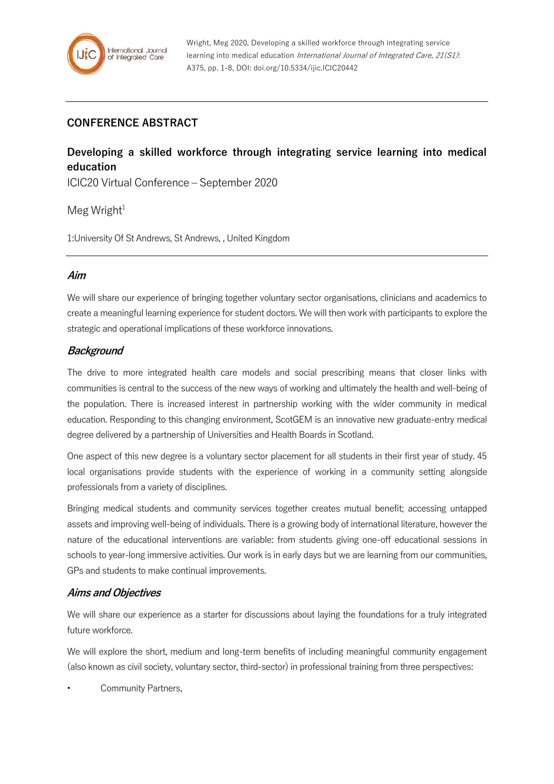# **CONFERENCE ABSTRACT**

# **Developing a skilled workforce through integrating service learning into medical education**

ICIC20 Virtual Conference – September 2020

 $Meg$  Wright<sup>1</sup>

1:University Of St Andrews, St Andrews, , United Kingdom

#### **Aim**

We will share our experience of bringing together voluntary sector organisations, clinicians and academics to create a meaningful learning experience for student doctors. We will then work with participants to explore the strategic and operational implications of these workforce innovations.

## **Background**

The drive to more integrated health care models and social prescribing means that closer links with communities is central to the success of the new ways of working and ultimately the health and well-being of the population. There is increased interest in partnership working with the wider community in medical education. Responding to this changing environment, ScotGEM is an innovative new graduate-entry medical degree delivered by a partnership of Universities and Health Boards in Scotland.

One aspect of this new degree is a voluntary sector placement for all students in their first year of study. 45 local organisations provide students with the experience of working in a community setting alongside professionals from a variety of disciplines.

Bringing medical students and community services together creates mutual benefit; accessing untapped assets and improving well-being of individuals. There is a growing body of international literature, however the nature of the educational interventions are variable: from students giving one-off educational sessions in schools to year-long immersive activities. Our work is in early days but we are learning from our communities, GPs and students to make continual improvements.

## **Aims and Objectives**

We will share our experience as a starter for discussions about laying the foundations for a truly integrated future workforce.

We will explore the short, medium and long-term benefits of including meaningful community engagement (also known as civil society, voluntary sector, third-sector) in professional training from three perspectives:

Community Partners,